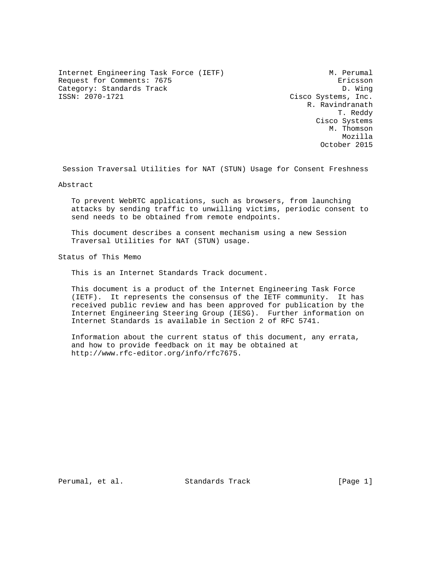Internet Engineering Task Force (IETF) M. Perumal Request for Comments: 7675 Ericsson Category: Standards Track and D. Wing<br>
ISSN: 2070-1721 Cisco Systems, Inc.

Cisco Systems, Inc. R. Ravindranath T. Reddy Cisco Systems M. Thomson Mozilla October 2015

Session Traversal Utilities for NAT (STUN) Usage for Consent Freshness

Abstract

 To prevent WebRTC applications, such as browsers, from launching attacks by sending traffic to unwilling victims, periodic consent to send needs to be obtained from remote endpoints.

 This document describes a consent mechanism using a new Session Traversal Utilities for NAT (STUN) usage.

Status of This Memo

This is an Internet Standards Track document.

 This document is a product of the Internet Engineering Task Force (IETF). It represents the consensus of the IETF community. It has received public review and has been approved for publication by the Internet Engineering Steering Group (IESG). Further information on Internet Standards is available in Section 2 of RFC 5741.

 Information about the current status of this document, any errata, and how to provide feedback on it may be obtained at http://www.rfc-editor.org/info/rfc7675.

Perumal, et al. Standards Track [Page 1]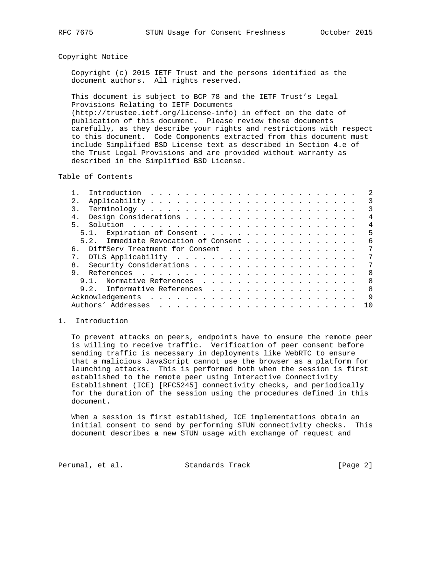# Copyright Notice

 Copyright (c) 2015 IETF Trust and the persons identified as the document authors. All rights reserved.

 This document is subject to BCP 78 and the IETF Trust's Legal Provisions Relating to IETF Documents (http://trustee.ietf.org/license-info) in effect on the date of publication of this document. Please review these documents carefully, as they describe your rights and restrictions with respect to this document. Code Components extracted from this document must include Simplified BSD License text as described in Section 4.e of the Trust Legal Provisions and are provided without warranty as described in the Simplified BSD License.

Table of Contents

|    |                                      |  |  |  |  |  |  |  |  |  |  | 2              |
|----|--------------------------------------|--|--|--|--|--|--|--|--|--|--|----------------|
| 2. |                                      |  |  |  |  |  |  |  |  |  |  | -3             |
|    |                                      |  |  |  |  |  |  |  |  |  |  | 3              |
|    |                                      |  |  |  |  |  |  |  |  |  |  | $\overline{4}$ |
| 5. |                                      |  |  |  |  |  |  |  |  |  |  | $\overline{4}$ |
|    | 5.1. Expiration of Consent           |  |  |  |  |  |  |  |  |  |  | 5              |
|    | 5.2. Immediate Revocation of Consent |  |  |  |  |  |  |  |  |  |  | 6              |
| რ. | DiffServ Treatment for Consent       |  |  |  |  |  |  |  |  |  |  | 7              |
|    |                                      |  |  |  |  |  |  |  |  |  |  | 7              |
| 8. |                                      |  |  |  |  |  |  |  |  |  |  | 7              |
| 9. |                                      |  |  |  |  |  |  |  |  |  |  | - 8            |
|    | Normative References<br>$9.1$ .      |  |  |  |  |  |  |  |  |  |  | - 8            |
|    | 9.2. Informative References          |  |  |  |  |  |  |  |  |  |  | - 8            |
|    |                                      |  |  |  |  |  |  |  |  |  |  | 9              |
|    |                                      |  |  |  |  |  |  |  |  |  |  | 10             |
|    |                                      |  |  |  |  |  |  |  |  |  |  |                |

# 1. Introduction

 To prevent attacks on peers, endpoints have to ensure the remote peer is willing to receive traffic. Verification of peer consent before sending traffic is necessary in deployments like WebRTC to ensure that a malicious JavaScript cannot use the browser as a platform for launching attacks. This is performed both when the session is first established to the remote peer using Interactive Connectivity Establishment (ICE) [RFC5245] connectivity checks, and periodically for the duration of the session using the procedures defined in this document.

 When a session is first established, ICE implementations obtain an initial consent to send by performing STUN connectivity checks. This document describes a new STUN usage with exchange of request and

Perumal, et al. Standards Track [Page 2]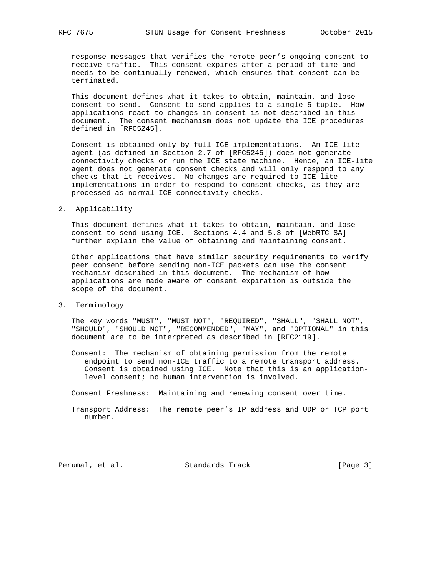response messages that verifies the remote peer's ongoing consent to receive traffic. This consent expires after a period of time and needs to be continually renewed, which ensures that consent can be terminated.

 This document defines what it takes to obtain, maintain, and lose consent to send. Consent to send applies to a single 5-tuple. How applications react to changes in consent is not described in this document. The consent mechanism does not update the ICE procedures defined in [RFC5245].

 Consent is obtained only by full ICE implementations. An ICE-lite agent (as defined in Section 2.7 of [RFC5245]) does not generate connectivity checks or run the ICE state machine. Hence, an ICE-lite agent does not generate consent checks and will only respond to any checks that it receives. No changes are required to ICE-lite implementations in order to respond to consent checks, as they are processed as normal ICE connectivity checks.

2. Applicability

 This document defines what it takes to obtain, maintain, and lose consent to send using ICE. Sections 4.4 and 5.3 of [WebRTC-SA] further explain the value of obtaining and maintaining consent.

 Other applications that have similar security requirements to verify peer consent before sending non-ICE packets can use the consent mechanism described in this document. The mechanism of how applications are made aware of consent expiration is outside the scope of the document.

3. Terminology

 The key words "MUST", "MUST NOT", "REQUIRED", "SHALL", "SHALL NOT", "SHOULD", "SHOULD NOT", "RECOMMENDED", "MAY", and "OPTIONAL" in this document are to be interpreted as described in [RFC2119].

- Consent: The mechanism of obtaining permission from the remote endpoint to send non-ICE traffic to a remote transport address. Consent is obtained using ICE. Note that this is an application level consent; no human intervention is involved.
- Consent Freshness: Maintaining and renewing consent over time.
- Transport Address: The remote peer's IP address and UDP or TCP port number.

Perumal, et al. Standards Track [Page 3]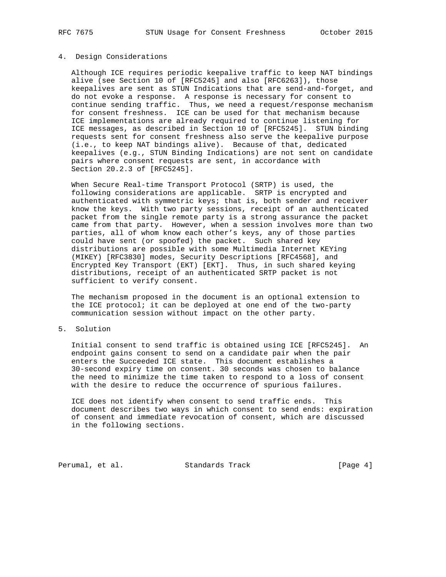## 4. Design Considerations

 Although ICE requires periodic keepalive traffic to keep NAT bindings alive (see Section 10 of [RFC5245] and also [RFC6263]), those keepalives are sent as STUN Indications that are send-and-forget, and do not evoke a response. A response is necessary for consent to continue sending traffic. Thus, we need a request/response mechanism for consent freshness. ICE can be used for that mechanism because ICE implementations are already required to continue listening for ICE messages, as described in Section 10 of [RFC5245]. STUN binding requests sent for consent freshness also serve the keepalive purpose (i.e., to keep NAT bindings alive). Because of that, dedicated keepalives (e.g., STUN Binding Indications) are not sent on candidate pairs where consent requests are sent, in accordance with Section 20.2.3 of [RFC5245].

 When Secure Real-time Transport Protocol (SRTP) is used, the following considerations are applicable. SRTP is encrypted and authenticated with symmetric keys; that is, both sender and receiver know the keys. With two party sessions, receipt of an authenticated packet from the single remote party is a strong assurance the packet came from that party. However, when a session involves more than two parties, all of whom know each other's keys, any of those parties could have sent (or spoofed) the packet. Such shared key distributions are possible with some Multimedia Internet KEYing (MIKEY) [RFC3830] modes, Security Descriptions [RFC4568], and Encrypted Key Transport (EKT) [EKT]. Thus, in such shared keying distributions, receipt of an authenticated SRTP packet is not sufficient to verify consent.

 The mechanism proposed in the document is an optional extension to the ICE protocol; it can be deployed at one end of the two-party communication session without impact on the other party.

5. Solution

 Initial consent to send traffic is obtained using ICE [RFC5245]. An endpoint gains consent to send on a candidate pair when the pair enters the Succeeded ICE state. This document establishes a 30-second expiry time on consent. 30 seconds was chosen to balance the need to minimize the time taken to respond to a loss of consent with the desire to reduce the occurrence of spurious failures.

 ICE does not identify when consent to send traffic ends. This document describes two ways in which consent to send ends: expiration of consent and immediate revocation of consent, which are discussed in the following sections.

Perumal, et al. Standards Track [Page 4]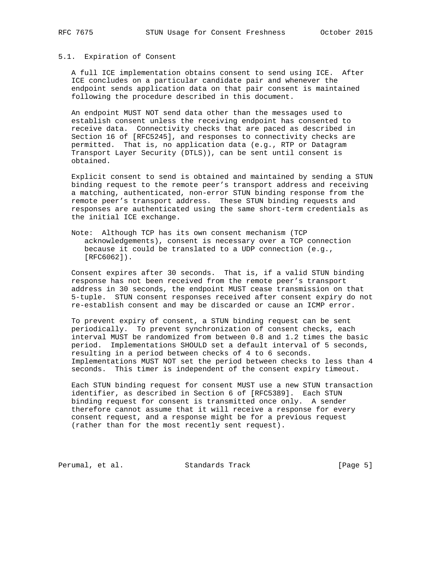## 5.1. Expiration of Consent

 A full ICE implementation obtains consent to send using ICE. After ICE concludes on a particular candidate pair and whenever the endpoint sends application data on that pair consent is maintained following the procedure described in this document.

 An endpoint MUST NOT send data other than the messages used to establish consent unless the receiving endpoint has consented to receive data. Connectivity checks that are paced as described in Section 16 of [RFC5245], and responses to connectivity checks are permitted. That is, no application data (e.g., RTP or Datagram Transport Layer Security (DTLS)), can be sent until consent is obtained.

 Explicit consent to send is obtained and maintained by sending a STUN binding request to the remote peer's transport address and receiving a matching, authenticated, non-error STUN binding response from the remote peer's transport address. These STUN binding requests and responses are authenticated using the same short-term credentials as the initial ICE exchange.

 Note: Although TCP has its own consent mechanism (TCP acknowledgements), consent is necessary over a TCP connection because it could be translated to a UDP connection (e.g., [RFC6062]).

 Consent expires after 30 seconds. That is, if a valid STUN binding response has not been received from the remote peer's transport address in 30 seconds, the endpoint MUST cease transmission on that 5-tuple. STUN consent responses received after consent expiry do not re-establish consent and may be discarded or cause an ICMP error.

 To prevent expiry of consent, a STUN binding request can be sent periodically. To prevent synchronization of consent checks, each interval MUST be randomized from between 0.8 and 1.2 times the basic period. Implementations SHOULD set a default interval of 5 seconds, resulting in a period between checks of 4 to 6 seconds. Implementations MUST NOT set the period between checks to less than 4 seconds. This timer is independent of the consent expiry timeout.

 Each STUN binding request for consent MUST use a new STUN transaction identifier, as described in Section 6 of [RFC5389]. Each STUN binding request for consent is transmitted once only. A sender therefore cannot assume that it will receive a response for every consent request, and a response might be for a previous request (rather than for the most recently sent request).

Perumal, et al. Standards Track [Page 5]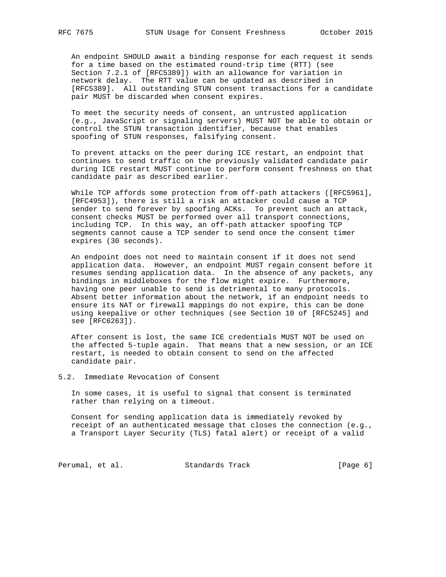An endpoint SHOULD await a binding response for each request it sends for a time based on the estimated round-trip time (RTT) (see Section 7.2.1 of [RFC5389]) with an allowance for variation in network delay. The RTT value can be updated as described in [RFC5389]. All outstanding STUN consent transactions for a candidate pair MUST be discarded when consent expires.

 To meet the security needs of consent, an untrusted application (e.g., JavaScript or signaling servers) MUST NOT be able to obtain or control the STUN transaction identifier, because that enables spoofing of STUN responses, falsifying consent.

 To prevent attacks on the peer during ICE restart, an endpoint that continues to send traffic on the previously validated candidate pair during ICE restart MUST continue to perform consent freshness on that candidate pair as described earlier.

 While TCP affords some protection from off-path attackers ([RFC5961], [RFC4953]), there is still a risk an attacker could cause a TCP sender to send forever by spoofing ACKs. To prevent such an attack, consent checks MUST be performed over all transport connections, including TCP. In this way, an off-path attacker spoofing TCP segments cannot cause a TCP sender to send once the consent timer expires (30 seconds).

 An endpoint does not need to maintain consent if it does not send application data. However, an endpoint MUST regain consent before it resumes sending application data. In the absence of any packets, any bindings in middleboxes for the flow might expire. Furthermore, having one peer unable to send is detrimental to many protocols. Absent better information about the network, if an endpoint needs to ensure its NAT or firewall mappings do not expire, this can be done using keepalive or other techniques (see Section 10 of [RFC5245] and see [RFC6263]).

 After consent is lost, the same ICE credentials MUST NOT be used on the affected 5-tuple again. That means that a new session, or an ICE restart, is needed to obtain consent to send on the affected candidate pair.

5.2. Immediate Revocation of Consent

 In some cases, it is useful to signal that consent is terminated rather than relying on a timeout.

 Consent for sending application data is immediately revoked by receipt of an authenticated message that closes the connection (e.g., a Transport Layer Security (TLS) fatal alert) or receipt of a valid

Perumal, et al. Standards Track [Page 6]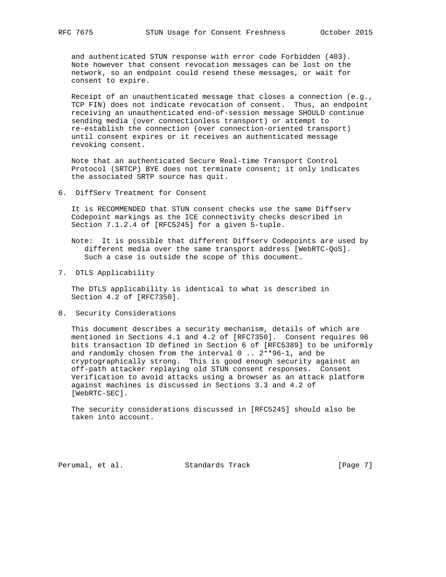and authenticated STUN response with error code Forbidden (403). Note however that consent revocation messages can be lost on the network, so an endpoint could resend these messages, or wait for consent to expire.

 Receipt of an unauthenticated message that closes a connection (e.g., TCP FIN) does not indicate revocation of consent. Thus, an endpoint receiving an unauthenticated end-of-session message SHOULD continue sending media (over connectionless transport) or attempt to re-establish the connection (over connection-oriented transport) until consent expires or it receives an authenticated message revoking consent.

 Note that an authenticated Secure Real-time Transport Control Protocol (SRTCP) BYE does not terminate consent; it only indicates the associated SRTP source has quit.

6. DiffServ Treatment for Consent

 It is RECOMMENDED that STUN consent checks use the same Diffserv Codepoint markings as the ICE connectivity checks described in Section 7.1.2.4 of [RFC5245] for a given 5-tuple.

- Note: It is possible that different Diffserv Codepoints are used by different media over the same transport address [WebRTC-QoS]. Such a case is outside the scope of this document.
- 7. DTLS Applicability

 The DTLS applicability is identical to what is described in Section 4.2 of [RFC7350].

8. Security Considerations

 This document describes a security mechanism, details of which are mentioned in Sections 4.1 and 4.2 of [RFC7350]. Consent requires 96 bits transaction ID defined in Section 6 of [RFC5389] to be uniformly and randomly chosen from the interval  $0$ ..  $2**96-1$ , and be cryptographically strong. This is good enough security against an off-path attacker replaying old STUN consent responses. Consent Verification to avoid attacks using a browser as an attack platform against machines is discussed in Sections 3.3 and 4.2 of [WebRTC-SEC].

 The security considerations discussed in [RFC5245] should also be taken into account.

Perumal, et al. Standards Track [Page 7]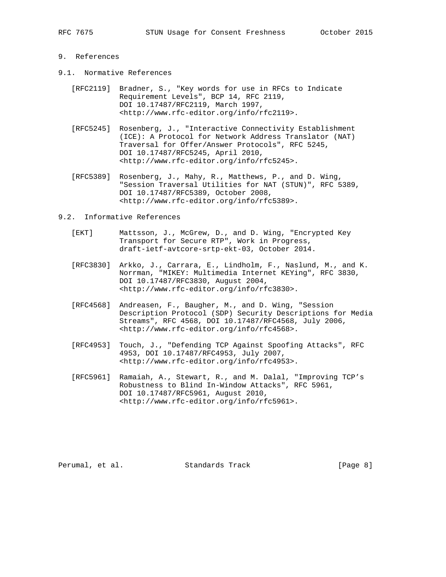# 9. References

- 9.1. Normative References
	- [RFC2119] Bradner, S., "Key words for use in RFCs to Indicate Requirement Levels", BCP 14, RFC 2119, DOI 10.17487/RFC2119, March 1997, <http://www.rfc-editor.org/info/rfc2119>.
	- [RFC5245] Rosenberg, J., "Interactive Connectivity Establishment (ICE): A Protocol for Network Address Translator (NAT) Traversal for Offer/Answer Protocols", RFC 5245, DOI 10.17487/RFC5245, April 2010, <http://www.rfc-editor.org/info/rfc5245>.
	- [RFC5389] Rosenberg, J., Mahy, R., Matthews, P., and D. Wing, "Session Traversal Utilities for NAT (STUN)", RFC 5389, DOI 10.17487/RFC5389, October 2008, <http://www.rfc-editor.org/info/rfc5389>.

## 9.2. Informative References

- [EKT] Mattsson, J., McGrew, D., and D. Wing, "Encrypted Key Transport for Secure RTP", Work in Progress, draft-ietf-avtcore-srtp-ekt-03, October 2014.
- [RFC3830] Arkko, J., Carrara, E., Lindholm, F., Naslund, M., and K. Norrman, "MIKEY: Multimedia Internet KEYing", RFC 3830, DOI 10.17487/RFC3830, August 2004, <http://www.rfc-editor.org/info/rfc3830>.
- [RFC4568] Andreasen, F., Baugher, M., and D. Wing, "Session Description Protocol (SDP) Security Descriptions for Media Streams", RFC 4568, DOI 10.17487/RFC4568, July 2006, <http://www.rfc-editor.org/info/rfc4568>.
- [RFC4953] Touch, J., "Defending TCP Against Spoofing Attacks", RFC 4953, DOI 10.17487/RFC4953, July 2007, <http://www.rfc-editor.org/info/rfc4953>.
- [RFC5961] Ramaiah, A., Stewart, R., and M. Dalal, "Improving TCP's Robustness to Blind In-Window Attacks", RFC 5961, DOI 10.17487/RFC5961, August 2010, <http://www.rfc-editor.org/info/rfc5961>.

Perumal, et al. Standards Track [Page 8]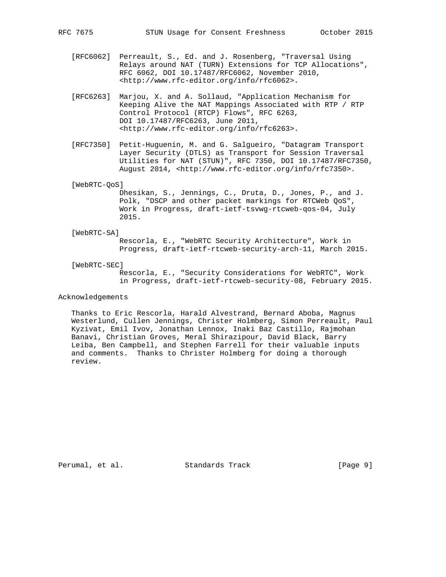- [RFC6062] Perreault, S., Ed. and J. Rosenberg, "Traversal Using Relays around NAT (TURN) Extensions for TCP Allocations", RFC 6062, DOI 10.17487/RFC6062, November 2010, <http://www.rfc-editor.org/info/rfc6062>.
- [RFC6263] Marjou, X. and A. Sollaud, "Application Mechanism for Keeping Alive the NAT Mappings Associated with RTP / RTP Control Protocol (RTCP) Flows", RFC 6263, DOI 10.17487/RFC6263, June 2011, <http://www.rfc-editor.org/info/rfc6263>.
- [RFC7350] Petit-Huguenin, M. and G. Salgueiro, "Datagram Transport Layer Security (DTLS) as Transport for Session Traversal Utilities for NAT (STUN)", RFC 7350, DOI 10.17487/RFC7350, August 2014, <http://www.rfc-editor.org/info/rfc7350>.

[WebRTC-QoS]

 Dhesikan, S., Jennings, C., Druta, D., Jones, P., and J. Polk, "DSCP and other packet markings for RTCWeb QoS", Work in Progress, draft-ietf-tsvwg-rtcweb-qos-04, July 2015.

### [WebRTC-SA]

 Rescorla, E., "WebRTC Security Architecture", Work in Progress, draft-ietf-rtcweb-security-arch-11, March 2015.

[WebRTC-SEC]

 Rescorla, E., "Security Considerations for WebRTC", Work in Progress, draft-ietf-rtcweb-security-08, February 2015.

### Acknowledgements

 Thanks to Eric Rescorla, Harald Alvestrand, Bernard Aboba, Magnus Westerlund, Cullen Jennings, Christer Holmberg, Simon Perreault, Paul Kyzivat, Emil Ivov, Jonathan Lennox, Inaki Baz Castillo, Rajmohan Banavi, Christian Groves, Meral Shirazipour, David Black, Barry Leiba, Ben Campbell, and Stephen Farrell for their valuable inputs and comments. Thanks to Christer Holmberg for doing a thorough review.

Perumal, et al. Standards Track [Page 9]